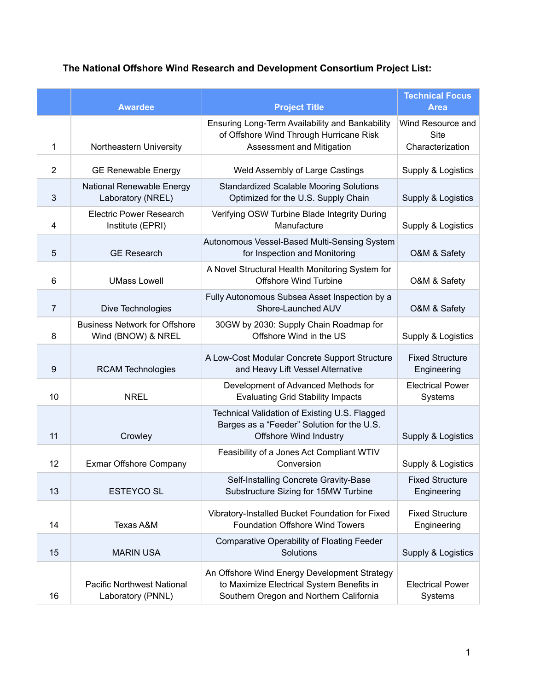## **The National Offshore Wind Research and Development Consortium Project List:**

|                | <b>Awardee</b>                                             | <b>Project Title</b>                                                                                                                 | <b>Technical Focus</b><br><b>Area</b>                |
|----------------|------------------------------------------------------------|--------------------------------------------------------------------------------------------------------------------------------------|------------------------------------------------------|
| 1              | Northeastern University                                    | Ensuring Long-Term Availability and Bankability<br>of Offshore Wind Through Hurricane Risk<br>Assessment and Mitigation              | Wind Resource and<br><b>Site</b><br>Characterization |
| $\overline{2}$ | <b>GE Renewable Energy</b>                                 | Weld Assembly of Large Castings                                                                                                      | Supply & Logistics                                   |
| $\mathbf{3}$   | National Renewable Energy<br>Laboratory (NREL)             | <b>Standardized Scalable Mooring Solutions</b><br>Optimized for the U.S. Supply Chain                                                | Supply & Logistics                                   |
| 4              | <b>Electric Power Research</b><br>Institute (EPRI)         | Verifying OSW Turbine Blade Integrity During<br>Manufacture                                                                          | Supply & Logistics                                   |
| 5              | <b>GE Research</b>                                         | Autonomous Vessel-Based Multi-Sensing System<br>for Inspection and Monitoring                                                        | O&M & Safety                                         |
| 6              | <b>UMass Lowell</b>                                        | A Novel Structural Health Monitoring System for<br><b>Offshore Wind Turbine</b>                                                      | O&M & Safety                                         |
| $\overline{7}$ | Dive Technologies                                          | Fully Autonomous Subsea Asset Inspection by a<br>Shore-Launched AUV                                                                  | O&M & Safety                                         |
| 8              | <b>Business Network for Offshore</b><br>Wind (BNOW) & NREL | 30GW by 2030: Supply Chain Roadmap for<br>Offshore Wind in the US                                                                    | Supply & Logistics                                   |
| $9\,$          | <b>RCAM Technologies</b>                                   | A Low-Cost Modular Concrete Support Structure<br>and Heavy Lift Vessel Alternative                                                   | <b>Fixed Structure</b><br>Engineering                |
| 10             | <b>NREL</b>                                                | Development of Advanced Methods for<br><b>Evaluating Grid Stability Impacts</b>                                                      | <b>Electrical Power</b><br>Systems                   |
| 11             | Crowley                                                    | Technical Validation of Existing U.S. Flagged<br>Barges as a "Feeder" Solution for the U.S.<br><b>Offshore Wind Industry</b>         | Supply & Logistics                                   |
| 12             | Exmar Offshore Company                                     | Feasibility of a Jones Act Compliant WTIV<br>Conversion                                                                              | Supply & Logistics                                   |
| 13             | <b>ESTEYCO SL</b>                                          | Self-Installing Concrete Gravity-Base<br>Substructure Sizing for 15MW Turbine                                                        | <b>Fixed Structure</b><br>Engineering                |
| 14             | <b>Texas A&amp;M</b>                                       | Vibratory-Installed Bucket Foundation for Fixed<br>Foundation Offshore Wind Towers                                                   | <b>Fixed Structure</b><br>Engineering                |
| 15             | <b>MARIN USA</b>                                           | <b>Comparative Operability of Floating Feeder</b><br>Solutions                                                                       | Supply & Logistics                                   |
| 16             | <b>Pacific Northwest National</b><br>Laboratory (PNNL)     | An Offshore Wind Energy Development Strategy<br>to Maximize Electrical System Benefits in<br>Southern Oregon and Northern California | <b>Electrical Power</b><br>Systems                   |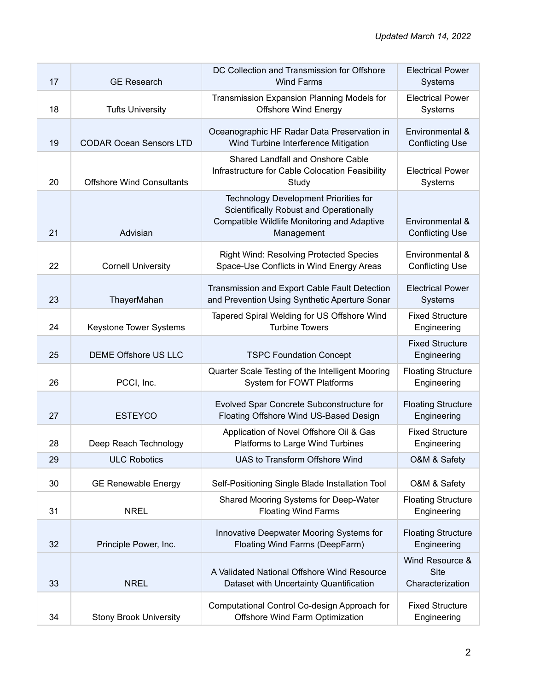| 17 | <b>GE Research</b>               | DC Collection and Transmission for Offshore<br><b>Wind Farms</b>                                                                                            | <b>Electrical Power</b><br>Systems                 |
|----|----------------------------------|-------------------------------------------------------------------------------------------------------------------------------------------------------------|----------------------------------------------------|
| 18 | <b>Tufts University</b>          | Transmission Expansion Planning Models for<br><b>Offshore Wind Energy</b>                                                                                   | <b>Electrical Power</b><br>Systems                 |
| 19 | <b>CODAR Ocean Sensors LTD</b>   | Oceanographic HF Radar Data Preservation in<br>Wind Turbine Interference Mitigation                                                                         | Environmental &<br><b>Conflicting Use</b>          |
| 20 | <b>Offshore Wind Consultants</b> | Shared Landfall and Onshore Cable<br>Infrastructure for Cable Colocation Feasibility<br>Study                                                               | <b>Electrical Power</b><br>Systems                 |
| 21 | Advisian                         | <b>Technology Development Priorities for</b><br>Scientifically Robust and Operationally<br><b>Compatible Wildlife Monitoring and Adaptive</b><br>Management | Environmental &<br><b>Conflicting Use</b>          |
| 22 | <b>Cornell University</b>        | <b>Right Wind: Resolving Protected Species</b><br>Space-Use Conflicts in Wind Energy Areas                                                                  | Environmental &<br><b>Conflicting Use</b>          |
| 23 | ThayerMahan                      | Transmission and Export Cable Fault Detection<br>and Prevention Using Synthetic Aperture Sonar                                                              | <b>Electrical Power</b><br>Systems                 |
| 24 | Keystone Tower Systems           | Tapered Spiral Welding for US Offshore Wind<br><b>Turbine Towers</b>                                                                                        | <b>Fixed Structure</b><br>Engineering              |
| 25 | <b>DEME Offshore US LLC</b>      | <b>TSPC Foundation Concept</b>                                                                                                                              | <b>Fixed Structure</b><br>Engineering              |
| 26 | PCCI, Inc.                       | Quarter Scale Testing of the Intelligent Mooring<br>System for FOWT Platforms                                                                               | <b>Floating Structure</b><br>Engineering           |
| 27 | <b>ESTEYCO</b>                   | Evolved Spar Concrete Subconstructure for<br>Floating Offshore Wind US-Based Design                                                                         | <b>Floating Structure</b><br>Engineering           |
| 28 | Deep Reach Technology            | Application of Novel Offshore Oil & Gas<br>Platforms to Large Wind Turbines                                                                                 | <b>Fixed Structure</b><br>Engineering              |
| 29 | <b>ULC Robotics</b>              | UAS to Transform Offshore Wind                                                                                                                              | O&M & Safety                                       |
| 30 | <b>GE Renewable Energy</b>       | Self-Positioning Single Blade Installation Tool                                                                                                             | O&M & Safety                                       |
| 31 | <b>NREL</b>                      | Shared Mooring Systems for Deep-Water<br><b>Floating Wind Farms</b>                                                                                         | <b>Floating Structure</b><br>Engineering           |
| 32 | Principle Power, Inc.            | Innovative Deepwater Mooring Systems for<br>Floating Wind Farms (DeepFarm)                                                                                  | <b>Floating Structure</b><br>Engineering           |
| 33 | <b>NREL</b>                      | A Validated National Offshore Wind Resource<br>Dataset with Uncertainty Quantification                                                                      | Wind Resource &<br><b>Site</b><br>Characterization |
| 34 | <b>Stony Brook University</b>    | Computational Control Co-design Approach for<br>Offshore Wind Farm Optimization                                                                             | <b>Fixed Structure</b><br>Engineering              |